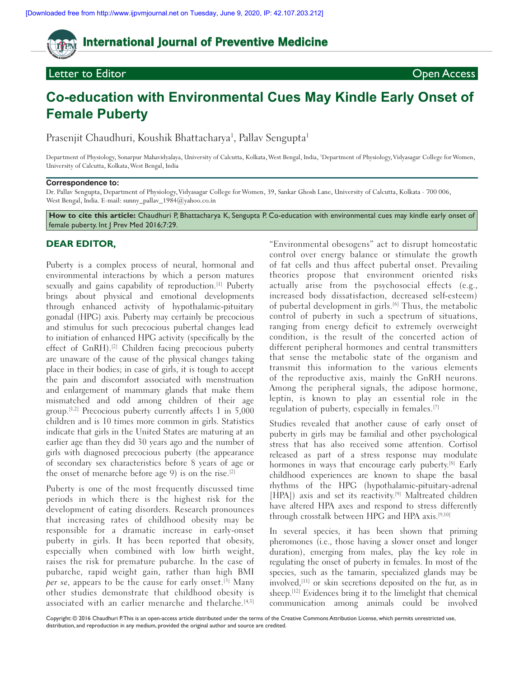# **International Journal of Preventive Medicine**

## **Letter to Editor Contract Contract Contract Contract Contract Contract Contract Contract Contract Contract Contract Contract Contract Contract Contract Contract Contract Contract Contract Contract Contract Contract Cont**

# **Co‑education with Environmental Cues May Kindle Early Onset of Female Puberty**

Prasenjit Chaudhuri, Koushik Bhattacharya<sup>1</sup>, Pallav Sengupta<sup>1</sup>

Department of Physiology, Sonarpur Mahavidyalaya, University of Calcutta, Kolkata, West Bengal, India, 1 Department of Physiology, Vidyasagar College for Women, University of Calcutta, Kolkata, West Bengal, India

#### **Correspondence to:**

Dr. Pallav Sengupta, Department of Physiology, Vidyasagar College for Women, 39, Sankar Ghosh Lane, University of Calcutta, Kolkata ‑ 700 006, West Bengal, India. E-mail: sunny\_pallav\_1984@yahoo.co.in

How to cite this article: Chaudhuri P, Bhattacharya K, Sengupta P. Co-education with environmental cues may kindle early onset of female puberty. Int J Prev Med 2016;7:29.

### **DEAR EDITOR,**

Puberty is a complex process of neural, hormonal and environmental interactions by which a person matures sexually and gains capability of reproduction.<sup>[1]</sup> Puberty brings about physical and emotional developments through enhanced activity of hypothalamic-pituitary gonadal (HPG) axis. Puberty may certainly be precocious and stimulus for such precocious pubertal changes lead to initiation of enhanced HPG activity (specifically by the effect of GnRH).<sup>[2]</sup> Children facing precocious puberty are unaware of the cause of the physical changes taking place in their bodies; in case of girls, it is tough to accept the pain and discomfort associated with menstruation and enlargement of mammary glands that make them mismatched and odd among children of their age group.[1,2] Precocious puberty currently affects 1 in 5,000 children and is 10 times more common in girls. Statistics indicate that girls in the United States are maturing at an earlier age than they did 30 years ago and the number of girls with diagnosed precocious puberty (the appearance of secondary sex characteristics before 8 years of age or the onset of menarche before age 9) is on the rise.<sup>[2]</sup>

Puberty is one of the most frequently discussed time periods in which there is the highest risk for the development of eating disorders. Research pronounces that increasing rates of childhood obesity may be responsible for a dramatic increase in early-onset puberty in girls. It has been reported that obesity, especially when combined with low birth weight, raises the risk for premature pubarche. In the case of pubarche, rapid weight gain, rather than high BMI per se, appears to be the cause for early onset.<sup>[3]</sup> Many other studies demonstrate that childhood obesity is associated with an earlier menarche and thelarche.<sup>[4,5]</sup>

"Environmental obesogens" act to disrupt homeostatic control over energy balance or stimulate the growth of fat cells and thus affect pubertal onset. Prevailing theories propose that environment oriented risks actually arise from the psychosocial effects (e.g., increased body dissatisfaction, decreased self-esteem) of pubertal development in girls.[6] Thus, the metabolic control of puberty in such a spectrum of situations, ranging from energy deficit to extremely overweight condition, is the result of the concerted action of different peripheral hormones and central transmitters that sense the metabolic state of the organism and transmit this information to the various elements of the reproductive axis, mainly the GnRH neurons. Among the peripheral signals, the adipose hormone, leptin, is known to play an essential role in the regulation of puberty, especially in females.[7]

Studies revealed that another cause of early onset of puberty in girls may be familial and other psychological stress that has also received some attention. Cortisol released as part of a stress response may modulate hormones in ways that encourage early puberty.<sup>[8]</sup> Early childhood experiences are known to shape the basal rhythms of the HPG (hypothalamic‑pituitary‑adrenal [HPA]) axis and set its reactivity.<sup>[9]</sup> Maltreated children have altered HPA axes and respond to stress differently through crosstalk between HPG and HPA axis.[9,10]

In several species, it has been shown that priming pheromones (i.e., those having a slower onset and longer duration), emerging from males, play the key role in regulating the onset of puberty in females. In most of the species, such as the tamarin, specialized glands may be involved,[11] or skin secretions deposited on the fur, as in sheep.<sup>[12]</sup> Evidences bring it to the limelight that chemical communication among animals could be involved

Copyright: © 2016 Chaudhuri P.This is an open-access article distributed under the terms of the Creative Commons Attribution License, which permits unrestricted use, distribution, and reproduction in any medium, provided the original author and source are credited.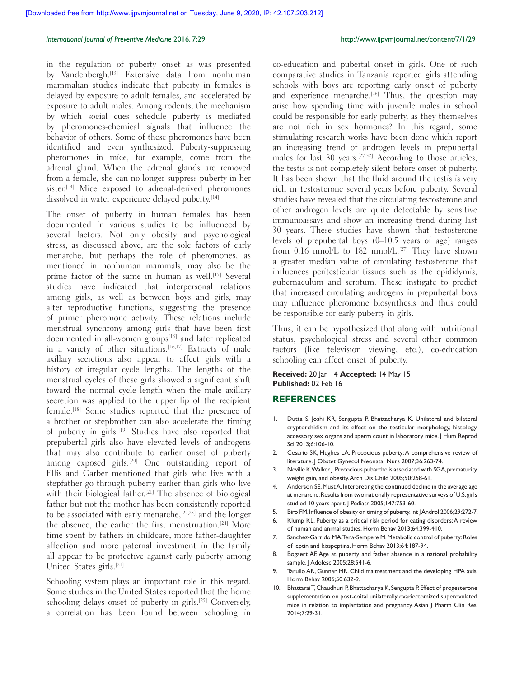#### *International Journal of Preventive Medicine* 2016, 7:29 http://www.ijpvmjournal.net/content/7/1/29

in the regulation of puberty onset as was presented by Vandenbergh.[13] Extensive data from nonhuman mammalian studies indicate that puberty in females is delayed by exposure to adult females, and accelerated by exposure to adult males. Among rodents, the mechanism by which social cues schedule puberty is mediated by pheromones‑chemical signals that influence the behavior of others. Some of these pheromones have been identified and even synthesized. Puberty-suppressing pheromones in mice, for example, come from the adrenal gland. When the adrenal glands are removed from a female, she can no longer suppress puberty in her sister.<sup>[14]</sup> Mice exposed to adrenal-derived pheromones dissolved in water experience delayed puberty.<sup>[14]</sup>

The onset of puberty in human females has been documented in various studies to be influenced by several factors. Not only obesity and psychological stress, as discussed above, are the sole factors of early menarche, but perhaps the role of pheromones, as mentioned in nonhuman mammals, may also be the prime factor of the same in human as well.<sup>[15]</sup> Several studies have indicated that interpersonal relations among girls, as well as between boys and girls, may alter reproductive functions, suggesting the presence of primer pheromone activity. These relations include menstrual synchrony among girls that have been first documented in all-women groups<sup>[16]</sup> and later replicated in a variety of other situations.<sup>[16,17]</sup> Extracts of male axillary secretions also appear to affect girls with a history of irregular cycle lengths. The lengths of the menstrual cycles of these girls showed a significant shift toward the normal cycle length when the male axillary secretion was applied to the upper lip of the recipient female.[18] Some studies reported that the presence of a brother or stepbrother can also accelerate the timing of puberty in girls.<sup>[19]</sup> Studies have also reported that prepubertal girls also have elevated levels of androgens that may also contribute to earlier onset of puberty among exposed girls.<sup>[20]</sup> One outstanding report of Ellis and Garber mentioned that girls who live with a stepfather go through puberty earlier than girls who live with their biological father.<sup>[21]</sup> The absence of biological father but not the mother has been consistently reported to be associated with early menarche,[22,23] and the longer the absence, the earlier the first menstruation.[24] More time spent by fathers in childcare, more father-daughter affection and more paternal investment in the family all appear to be protective against early puberty among United States girls.[21]

Schooling system plays an important role in this regard. Some studies in the United States reported that the home schooling delays onset of puberty in girls.<sup>[25]</sup> Conversely, a correlation has been found between schooling in co‑education and pubertal onset in girls. One of such comparative studies in Tanzania reported girls attending schools with boys are reporting early onset of puberty and experience menarche.<sup>[26]</sup> Thus, the question may arise how spending time with juvenile males in school could be responsible for early puberty, as they themselves are not rich in sex hormones? In this regard, some stimulating research works have been done which report an increasing trend of androgen levels in prepubertal males for last 30 years.[27-32] According to those articles, the testis is not completely silent before onset of puberty. It has been shown that the fluid around the testis is very rich in testosterone several years before puberty. Several studies have revealed that the circulating testosterone and other androgen levels are quite detectable by sensitive immunoassays and show an increasing trend during last 30 years. These studies have shown that testosterone levels of prepubertal boys (0–10.5 years of age) ranges from 0.16 nmol/L to 182 nmol/L.<sup>[27]</sup> They have shown a greater median value of circulating testosterone that influences peritesticular tissues such as the epididymis, gubernaculum and scrotum. These instigate to predict that increased circulating androgens in prepubertal boys may influence pheromone biosynthesis and thus could be responsible for early puberty in girls.

Thus, it can be hypothesized that along with nutritional status, psychological stress and several other common factors (like television viewing, etc.), co-education schooling can affect onset of puberty.

#### **Received:** 20 Jan 14 **Accepted:** 14 May 15 **Published:** 02 Feb 16

#### **REFERENCES**

- 1. Dutta S, Joshi KR, Sengupta P, Bhattacharya K. Unilateral and bilateral cryptorchidism and its effect on the testicular morphology, histology, accessory sex organs and sperm count in laboratory mice. J Hum Reprod Sci 2013;6:106‑10.
- 2. Cesario SK, Hughes LA. Precocious puberty: A comprehensive review of literature. J Obstet Gynecol Neonatal Nurs 2007;36:263-74.
- 3. Neville K, Walker J. Precocious pubarche is associated with SGA, prematurity, weight gain, and obesity. Arch Dis Child 2005;90:258‑61.
- 4. Anderson SE, Must A. Interpreting the continued decline in the average age at menarche: Results from two nationally representative surveys of U.S. girls studied 10 years apart. J Pediatr 2005;147:753-60.
- 5. Biro FM. Influence of obesity on timing of puberty. Int J Androl 2006;29:272-7.
- 6. Klump KL. Puberty as a critical risk period for eating disorders: A review
- of human and animal studies. Horm Behav 2013;64:399-410. 7. Sanchez-Garrido MA, Tena-Sempere M. Metabolic control of puberty: Roles of leptin and kisspeptins. Horm Behav 2013;64:187‑94.
- 8. Bogaert AF. Age at puberty and father absence in a national probability sample. J Adolesc 2005;28:541‑6.
- 9. Tarullo AR, Gunnar MR. Child maltreatment and the developing HPA axis. Horm Behav 2006;50:632‑9.
- 10. Bhattarai T, Chaudhuri P, Bhattacharya K, Sengupta P. Effect of progesterone supplementation on post-coital unilaterally ovariectomized superovulated mice in relation to implantation and pregnancy. Asian J Pharm Clin Res. 2014;7:29-31.